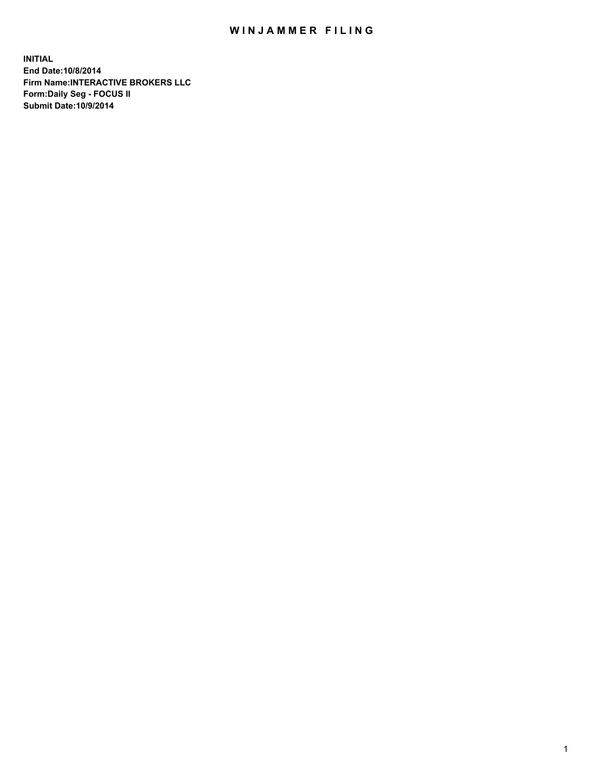## WIN JAMMER FILING

**INITIAL End Date:10/8/2014 Firm Name:INTERACTIVE BROKERS LLC Form:Daily Seg - FOCUS II Submit Date:10/9/2014**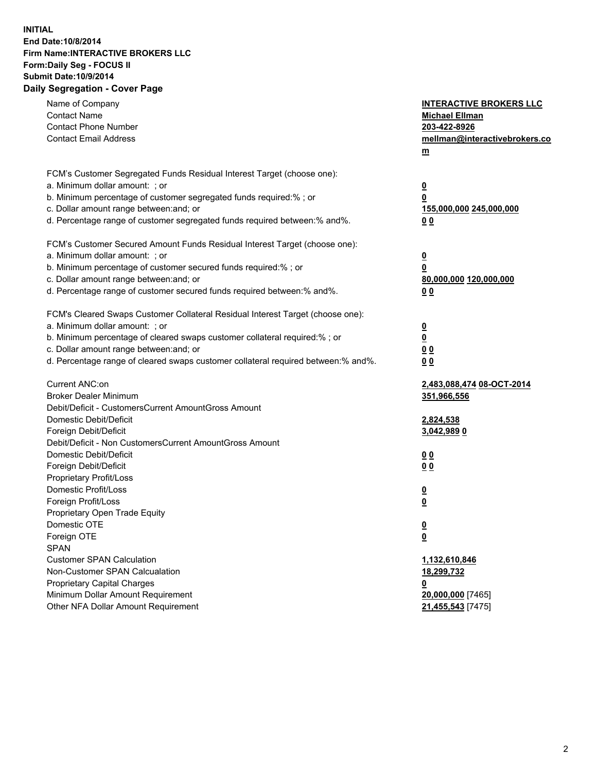## **INITIAL End Date:10/8/2014 Firm Name:INTERACTIVE BROKERS LLC Form:Daily Seg - FOCUS II Submit Date:10/9/2014 Daily Segregation - Cover Page**

| Name of Company<br><b>Contact Name</b><br><b>Contact Phone Number</b><br><b>Contact Email Address</b> | <b>INTERACTIVE BROKERS LLC</b><br><b>Michael Ellman</b><br>203-422-8926<br>mellman@interactivebrokers.co<br>$m$ |
|-------------------------------------------------------------------------------------------------------|-----------------------------------------------------------------------------------------------------------------|
| FCM's Customer Segregated Funds Residual Interest Target (choose one):                                |                                                                                                                 |
| a. Minimum dollar amount: ; or                                                                        | $\overline{\mathbf{0}}$                                                                                         |
| b. Minimum percentage of customer segregated funds required:% ; or                                    | 0                                                                                                               |
| c. Dollar amount range between: and; or                                                               | 155,000,000 245,000,000                                                                                         |
| d. Percentage range of customer segregated funds required between:% and%.                             | 0 <sub>0</sub>                                                                                                  |
| FCM's Customer Secured Amount Funds Residual Interest Target (choose one):                            |                                                                                                                 |
| a. Minimum dollar amount: ; or                                                                        | $\overline{\mathbf{0}}$                                                                                         |
| b. Minimum percentage of customer secured funds required:% ; or                                       | 0                                                                                                               |
| c. Dollar amount range between: and; or                                                               | 80,000,000 120,000,000                                                                                          |
| d. Percentage range of customer secured funds required between:% and%.                                | 0 <sub>0</sub>                                                                                                  |
| FCM's Cleared Swaps Customer Collateral Residual Interest Target (choose one):                        |                                                                                                                 |
| a. Minimum dollar amount: ; or                                                                        | $\overline{\mathbf{0}}$                                                                                         |
| b. Minimum percentage of cleared swaps customer collateral required:% ; or                            | $\overline{\mathbf{0}}$                                                                                         |
| c. Dollar amount range between: and; or                                                               | 0 <sub>0</sub>                                                                                                  |
| d. Percentage range of cleared swaps customer collateral required between:% and%.                     | 0 <sub>0</sub>                                                                                                  |
| Current ANC:on                                                                                        | 2,483,088,474 08-OCT-2014                                                                                       |
| <b>Broker Dealer Minimum</b>                                                                          | 351,966,556                                                                                                     |
| Debit/Deficit - CustomersCurrent AmountGross Amount                                                   |                                                                                                                 |
| Domestic Debit/Deficit                                                                                | 2,824,538                                                                                                       |
| Foreign Debit/Deficit                                                                                 | 3,042,989 0                                                                                                     |
| Debit/Deficit - Non CustomersCurrent AmountGross Amount                                               |                                                                                                                 |
| Domestic Debit/Deficit                                                                                | 0 <sub>0</sub>                                                                                                  |
| Foreign Debit/Deficit                                                                                 | 0 <sub>0</sub>                                                                                                  |
| Proprietary Profit/Loss                                                                               |                                                                                                                 |
| Domestic Profit/Loss                                                                                  | $\overline{\mathbf{0}}$                                                                                         |
| Foreign Profit/Loss                                                                                   | $\underline{\mathbf{0}}$                                                                                        |
| Proprietary Open Trade Equity                                                                         |                                                                                                                 |
| Domestic OTE                                                                                          | <u>0</u>                                                                                                        |
| Foreign OTE                                                                                           | <u>0</u>                                                                                                        |
| <b>SPAN</b>                                                                                           |                                                                                                                 |
| <b>Customer SPAN Calculation</b>                                                                      | 1,132,610,846                                                                                                   |
| Non-Customer SPAN Calcualation                                                                        | 18,299,732                                                                                                      |
| Proprietary Capital Charges                                                                           | <u>0</u>                                                                                                        |
| Minimum Dollar Amount Requirement                                                                     | 20,000,000 [7465]                                                                                               |
| Other NFA Dollar Amount Requirement                                                                   | 21,455,543 [7475]                                                                                               |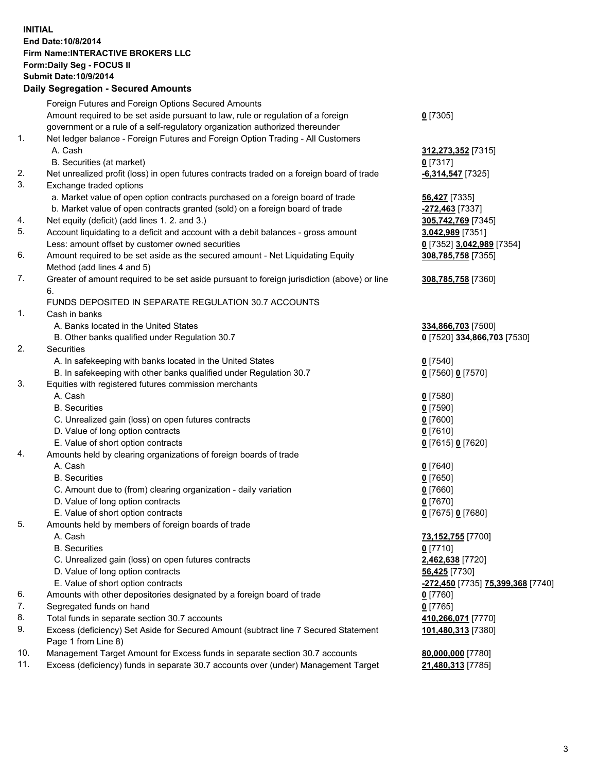## **INITIAL End Date:10/8/2014 Firm Name:INTERACTIVE BROKERS LLC Form:Daily Seg - FOCUS II Submit Date:10/9/2014 Daily Segregation - Secured Amounts**

|     | Dany Ocgregation - Oceanea Annoanta                                                         |                                   |
|-----|---------------------------------------------------------------------------------------------|-----------------------------------|
|     | Foreign Futures and Foreign Options Secured Amounts                                         |                                   |
|     | Amount required to be set aside pursuant to law, rule or regulation of a foreign            | $0$ [7305]                        |
|     | government or a rule of a self-regulatory organization authorized thereunder                |                                   |
| 1.  | Net ledger balance - Foreign Futures and Foreign Option Trading - All Customers             |                                   |
|     | A. Cash                                                                                     | 312,273,352 [7315]                |
|     | B. Securities (at market)                                                                   | $0$ [7317]                        |
| 2.  | Net unrealized profit (loss) in open futures contracts traded on a foreign board of trade   | $-6,314,547$ [7325]               |
| 3.  | Exchange traded options                                                                     |                                   |
|     | a. Market value of open option contracts purchased on a foreign board of trade              | 56,427 [7335]                     |
|     | b. Market value of open contracts granted (sold) on a foreign board of trade                | -272,463 [7337]                   |
| 4.  | Net equity (deficit) (add lines 1.2. and 3.)                                                | 305,742,769 [7345]                |
| 5.  | Account liquidating to a deficit and account with a debit balances - gross amount           | 3,042,989 [7351]                  |
|     | Less: amount offset by customer owned securities                                            | 0 [7352] 3,042,989 [7354]         |
| 6.  | Amount required to be set aside as the secured amount - Net Liquidating Equity              | 308,785,758 [7355]                |
|     | Method (add lines 4 and 5)                                                                  |                                   |
| 7.  | Greater of amount required to be set aside pursuant to foreign jurisdiction (above) or line | 308,785,758 [7360]                |
|     | 6.                                                                                          |                                   |
|     | FUNDS DEPOSITED IN SEPARATE REGULATION 30.7 ACCOUNTS                                        |                                   |
| 1.  | Cash in banks                                                                               |                                   |
|     | A. Banks located in the United States                                                       | 334,866,703 [7500]                |
|     | B. Other banks qualified under Regulation 30.7                                              | 0 [7520] 334,866,703 [7530]       |
| 2.  | Securities                                                                                  |                                   |
|     | A. In safekeeping with banks located in the United States                                   | $0$ [7540]                        |
|     | B. In safekeeping with other banks qualified under Regulation 30.7                          | 0 [7560] 0 [7570]                 |
| 3.  | Equities with registered futures commission merchants                                       |                                   |
|     | A. Cash                                                                                     | $0$ [7580]                        |
|     | <b>B.</b> Securities                                                                        | $0$ [7590]                        |
|     | C. Unrealized gain (loss) on open futures contracts                                         | $0$ [7600]                        |
|     | D. Value of long option contracts                                                           | $0$ [7610]                        |
|     | E. Value of short option contracts                                                          | 0 [7615] 0 [7620]                 |
| 4.  | Amounts held by clearing organizations of foreign boards of trade                           |                                   |
|     | A. Cash                                                                                     | $0$ [7640]                        |
|     | <b>B.</b> Securities                                                                        | $0$ [7650]                        |
|     | C. Amount due to (from) clearing organization - daily variation                             | $0$ [7660]                        |
|     | D. Value of long option contracts                                                           | $0$ [7670]                        |
|     | E. Value of short option contracts                                                          | 0 [7675] 0 [7680]                 |
| 5.  | Amounts held by members of foreign boards of trade                                          |                                   |
|     | A. Cash                                                                                     | 73,152,755 [7700]                 |
|     | <b>B.</b> Securities                                                                        | $0$ [7710]                        |
|     | C. Unrealized gain (loss) on open futures contracts                                         | 2,462,638 [7720]                  |
|     | D. Value of long option contracts                                                           | 56,425 [7730]                     |
|     | E. Value of short option contracts                                                          | -272,450 [7735] 75,399,368 [7740] |
| 6.  | Amounts with other depositories designated by a foreign board of trade                      | 0 [7760]                          |
| 7.  | Segregated funds on hand                                                                    | $0$ [7765]                        |
| 8.  | Total funds in separate section 30.7 accounts                                               | 410,266,071 [7770]                |
| 9.  | Excess (deficiency) Set Aside for Secured Amount (subtract line 7 Secured Statement         | 101,480,313 [7380]                |
|     | Page 1 from Line 8)                                                                         |                                   |
| 10. | Management Target Amount for Excess funds in separate section 30.7 accounts                 | 80,000,000 [7780]                 |
| 11. | Excess (deficiency) funds in separate 30.7 accounts over (under) Management Target          | 21,480,313 [7785]                 |
|     |                                                                                             |                                   |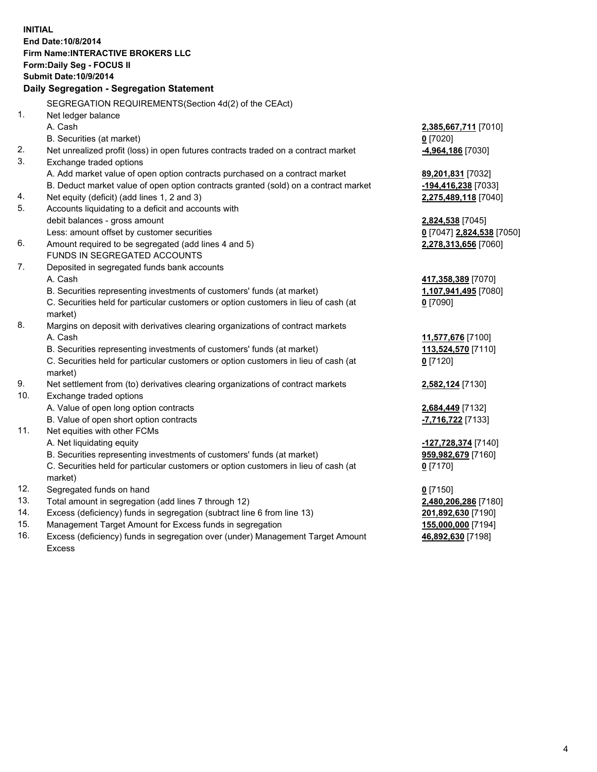**INITIAL End Date:10/8/2014 Firm Name:INTERACTIVE BROKERS LLC Form:Daily Seg - FOCUS II Submit Date:10/9/2014 Daily Segregation - Segregation Statement** SEGREGATION REQUIREMENTS(Section 4d(2) of the CEAct) 1. Net ledger balance A. Cash **2,385,667,711** [7010] B. Securities (at market) **0** [7020] 2. Net unrealized profit (loss) in open futures contracts traded on a contract market **-4,964,186** [7030] 3. Exchange traded options A. Add market value of open option contracts purchased on a contract market **89,201,831** [7032] B. Deduct market value of open option contracts granted (sold) on a contract market **-194,416,238** [7033] 4. Net equity (deficit) (add lines 1, 2 and 3) **2,275,489,118** [7040] 5. Accounts liquidating to a deficit and accounts with debit balances - gross amount **2,824,538** [7045] Less: amount offset by customer securities **0** [7047] **2,824,538** [7050] 6. Amount required to be segregated (add lines 4 and 5) **2,278,313,656** [7060] FUNDS IN SEGREGATED ACCOUNTS 7. Deposited in segregated funds bank accounts A. Cash **417,358,389** [7070] B. Securities representing investments of customers' funds (at market) **1,107,941,495** [7080] C. Securities held for particular customers or option customers in lieu of cash (at market) **0** [7090] 8. Margins on deposit with derivatives clearing organizations of contract markets A. Cash **11,577,676** [7100] B. Securities representing investments of customers' funds (at market) **113,524,570** [7110] C. Securities held for particular customers or option customers in lieu of cash (at market) **0** [7120] 9. Net settlement from (to) derivatives clearing organizations of contract markets **2,582,124** [7130] 10. Exchange traded options A. Value of open long option contracts **2,684,449** [7132] B. Value of open short option contracts **-7,716,722** [7133] 11. Net equities with other FCMs A. Net liquidating equity **-127,728,374** [7140] B. Securities representing investments of customers' funds (at market) **959,982,679** [7160] C. Securities held for particular customers or option customers in lieu of cash (at market) **0** [7170] 12. Segregated funds on hand **0** [7150] 13. Total amount in segregation (add lines 7 through 12) **2,480,206,286** [7180] 14. Excess (deficiency) funds in segregation (subtract line 6 from line 13) **201,892,630** [7190] 15. Management Target Amount for Excess funds in segregation **155,000,000** [7194]

16. Excess (deficiency) funds in segregation over (under) Management Target Amount Excess

**46,892,630** [7198]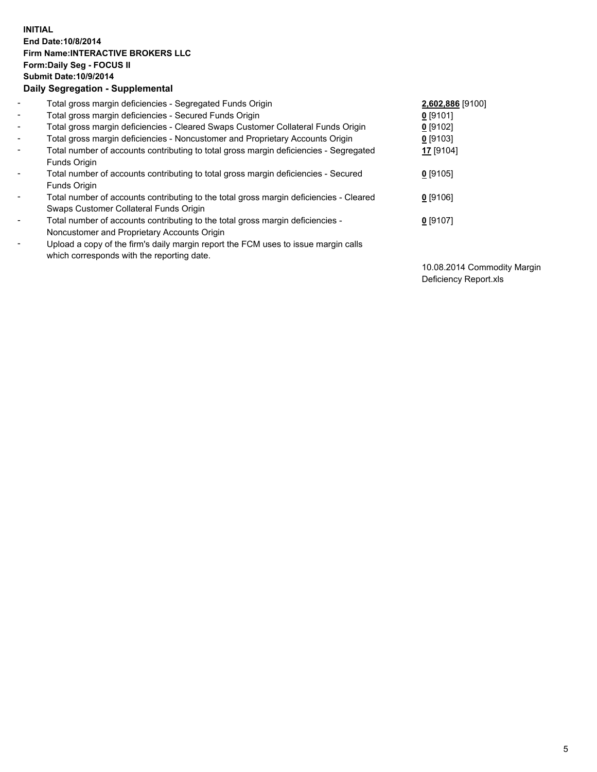## **INITIAL End Date:10/8/2014 Firm Name:INTERACTIVE BROKERS LLC Form:Daily Seg - FOCUS II Submit Date:10/9/2014 Daily Segregation - Supplemental**

| $\blacksquare$           | Total gross margin deficiencies - Segregated Funds Origin                                                                        | 2,602,886 [9100] |
|--------------------------|----------------------------------------------------------------------------------------------------------------------------------|------------------|
| $\blacksquare$           | Total gross margin deficiencies - Secured Funds Origin                                                                           | $0$ [9101]       |
| $\blacksquare$           | Total gross margin deficiencies - Cleared Swaps Customer Collateral Funds Origin                                                 | $0$ [9102]       |
| $\blacksquare$           | Total gross margin deficiencies - Noncustomer and Proprietary Accounts Origin                                                    | $0$ [9103]       |
| $\blacksquare$           | Total number of accounts contributing to total gross margin deficiencies - Segregated<br>Funds Origin                            | 17 [9104]        |
| $\blacksquare$           | Total number of accounts contributing to total gross margin deficiencies - Secured<br>Funds Origin                               | $0$ [9105]       |
| $\blacksquare$           | Total number of accounts contributing to the total gross margin deficiencies - Cleared<br>Swaps Customer Collateral Funds Origin | $0$ [9106]       |
| $\overline{\phantom{a}}$ | Total number of accounts contributing to the total gross margin deficiencies -<br>Noncustomer and Proprietary Accounts Origin    | $0$ [9107]       |
|                          | Upload a copy of the firm's daily margin report the FCM uses to issue margin calls<br>which corresponds with the reporting date. |                  |

10.08.2014 Commodity Margin Deficiency Report.xls